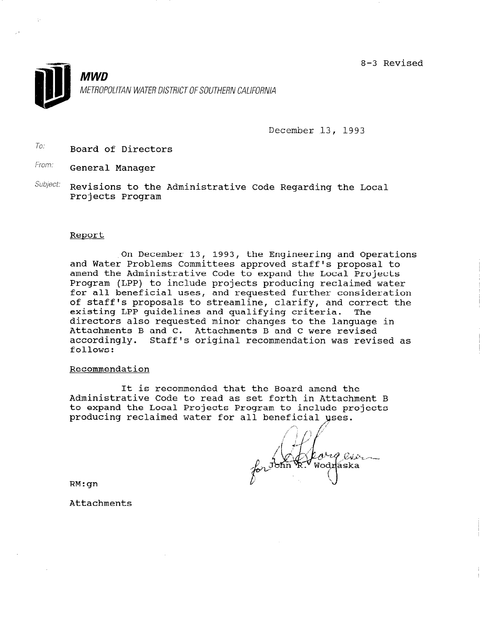8-3 Revised



December 13, 1993

To: Board of Directors

From. General Manager

Subject: Revisions to the Administrative Code Regarding the Local Projects Program

#### Report

,On December 13, 1993, the Engineering and Operations and Water Problems Committees approved staff's proposal to amend the Administrative Code to expand the Local Projects Program (LPP) to include projects producing reclaimed water for all beneficial uses, and requested further consideration of staff's proposals to streamline, clarify, and correct the existing LPP guidelines and qualifying criteria. The directors also requested minor changes to the language in Attachments B and C. Attachments B and C were revised accordingly. Staff's original recommendation was revised as follows:

# Recommendation

It is recommended that the Board amend the Administrative Code to read as set forth in Attachment B to expand the Local Projects Program to include projects producing reclaimed water for all

ohig ain Wodraska

RM:gn

Attachments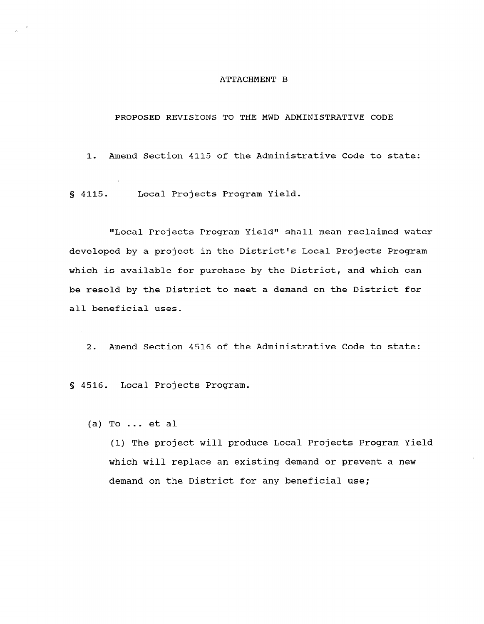#### ATTACHMENT B

# PROPOSED REVISIONS TO THE MWD ADMINISTRATIVE CODE

1. Amend Section 4115 of the Administrative Code to state:

s 4115. Local Projects Program Yield.

"Local Projects Program Yield" shall mean reclaimed water developed by a project in the District's Local Projects Program which is available for purchase by the District, and which can be resold by the District to meet a demand on the District for all beneficial uses.

2. Amend Section 4516 of the Administrative Code to state:

S 4516. Local Projects Program.

(a) To  $\ldots$  et al

(1) The project will produce Local Projects Program Yield which will replace an existing demand or prevent a new demand on the District for any beneficial use;